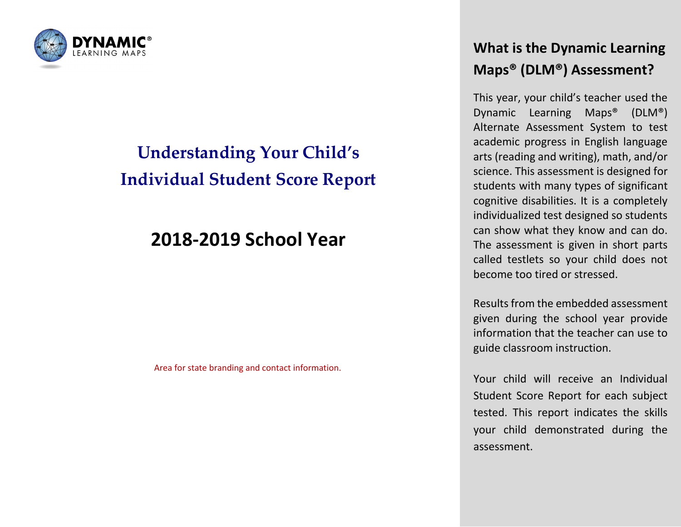

# **Understanding Your Child's Individual Student Score Report**

## **2018-2019 School Year**

Area for state branding and contact information.

### **What is the Dynamic Learning Maps® (DLM®) Assessment?**

This year, your child's teacher used the Dynamic Learning Maps® (DLM®) Alternate Assessment System to test academic progress in English language arts (reading and writing), math, and/or science. This assessment is designed for students with many types of significant cognitive disabilities. It is a completely individualized test designed so students can show what they know and can do. The assessment is given in short parts called testlets so your child does not become too tired or stressed.

Results from the embedded assessment given during the school year provide information that the teacher can use to guide classroom instruction.

Your child will receive an Individual Student Score Report for each subject tested. This report indicates the skills your child demonstrated during the assessment.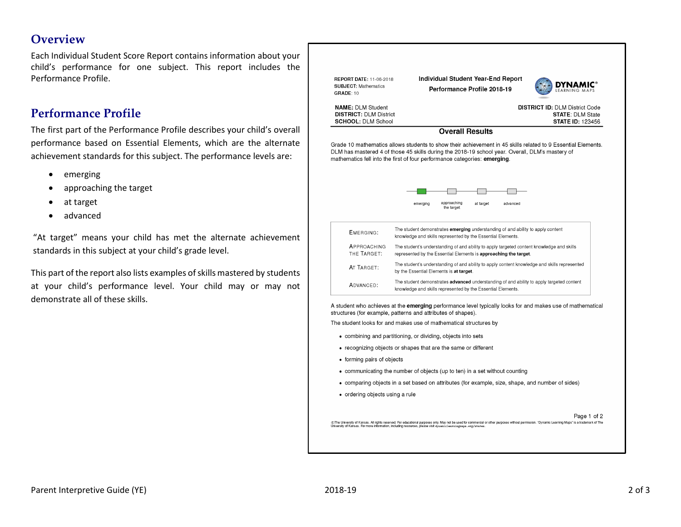#### **Overview**

Each Individual Student Score Report contains information about your child's performance for one subject. This report includes the Performance Profile.

#### **Performance Profile**

The first part of the Performance Profile describes your child's overall performance based on Essential Elements, which are the alternate achievement standards for this subject. The performance levels are:

- emerging
- approaching the target
- at target
- advanced

"At target" means your child has met the alternate achievement standards in this subject at your child's grade level.

This part of the report also lists examples of skills mastered by students at your child's performance level. Your child may or may not demonstrate all of these skills.



Page 1 of 2 ©The University of Kansas. All rights reserved. For educational purposes only. May not be used for commercial or other purposes without permission. "Dynamic Learning Maps" is a trademark of The<br>University of Kansas. For mo